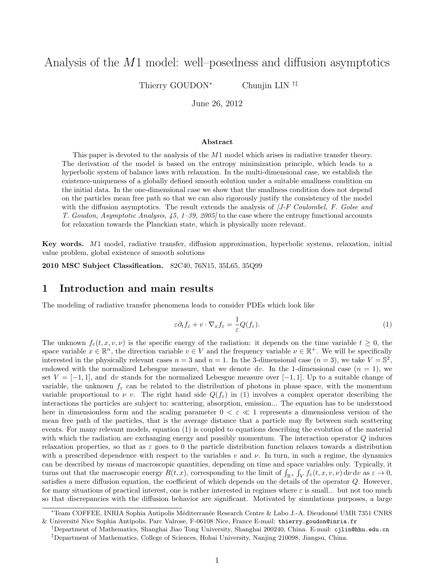# Analysis of the  $M1$  model: well–posedness and diffusion asymptotics

Thierry GOUDON<sup>∗</sup> Chunjin LIN<sup>†‡</sup>

June 26, 2012

#### Abstract

This paper is devoted to the analysis of the M1 model which arises in radiative transfer theory. The derivation of the model is based on the entropy minimization principle, which leads to a hyperbolic system of balance laws with relaxation. In the multi-dimensional case, we establish the existence-uniqueness of a globally defined smooth solution under a suitable smallness condition on the initial data. In the one-dimensional case we show that the smallness condition does not depend on the particles mean free path so that we can also rigorously justify the consistency of the model with the diffusion asymptotics. The result extends the analysis of  $J-F$  Coulombel, F. Golse and T. Goudon, Asymptotic Analysis,  $45$ ,  $1-39$ ,  $2005$  to the case where the entropy functional accounts for relaxation towards the Planckian state, which is physically more relevant.

Key words. M1 model, radiative transfer, diffusion approximation, hyperbolic systems, relaxation, initial value problem, global existence of smooth solutions

2010 MSC Subject Classification. 82C40, 76N15, 35L65, 35Q99

## 1 Introduction and main results

The modeling of radiative transfer phenomena leads to consider PDEs which look like

$$
\varepsilon \partial_t f_{\varepsilon} + v \cdot \nabla_x f_{\varepsilon} = \frac{1}{\varepsilon} Q(f_{\varepsilon}).
$$
\n(1)

The unknown  $f_{\varepsilon}(t, x, v, \nu)$  is the specific energy of the radiation: it depends on the time variable  $t \geq 0$ , the space variable  $x \in \mathbb{R}^n$ , the direction variable  $v \in V$  and the frequency variable  $\nu \in \mathbb{R}^+$ . We will be specifically interested in the physically relevant cases  $n = 3$  and  $n = 1$ . In the 3-dimensional case  $(n = 3)$ , we take  $V = \mathbb{S}^2$ , endowed with the normalized Lebesgue measure, that we denote dv. In the 1-dimensional case  $(n = 1)$ , we set  $V = [-1, 1]$ , and dv stands for the normalized Lebesgue measure over [-1,1]. Up to a suitable change of variable, the unknown  $f_{\varepsilon}$  can be related to the distribution of photons in phase space, with the momentum variable proportional to  $\nu$  v. The right hand side  $Q(f_{\varepsilon})$  in (1) involves a complex operator describing the interactions the particles are subject to: scattering, absorption, emission... The equation has to be understood here in dimensionless form and the scaling parameter  $0 < \varepsilon \ll 1$  represents a dimensionless version of the mean free path of the particles, that is the average distance that a particle may fly between such scattering events. For many relevant models, equation (1) is coupled to equations describing the evolution of the material with which the radiation are exchanging energy and possibly momentum. The interaction operator Q induces relaxation properties, so that as  $\varepsilon$  goes to 0 the particle distribution function relaxes towards a distribution with a prescribed dependence with respect to the variables v and  $\nu$ . In turn, in such a regime, the dynamics can be described by means of macroscopic quantities, depending on time and space variables only. Typically, it turns out that the macroscopic energy  $R(t, x)$ , corresponding to the limit of  $\int_{\mathbb{R}^+} \int_V f_{\varepsilon}(t, x, v, \nu) d\nu dv$  as  $\varepsilon \to 0$ , satisfies a mere diffusion equation, the coefficient of which depends on the details of the operator Q. However, for many situations of practical interest, one is rather interested in regimes where  $\varepsilon$  is small... but not too much so that discrepancies with the diffusion behavior are significant. Motivated by simulations purposes, a large

<sup>\*</sup>Team COFFEE, INRIA Sophia Antipolis Méditerranée Research Centre & Labo J.-A. Dieudonné UMR 7351 CNRS & Universit´e Nice Sophia Antipolis, Parc Valrose, F-06108 Nice, France E-mail: thierry.goudon@inria.fr

<sup>†</sup>Department of Mathematics, Shanghai Jiao Tong University, Shanghai 200240, China. E-mail: cjlin@hhu.edu.cn ‡Department of Mathematics, College of Sciences, Hohai University, Nanjing 210098, Jiangsu, China.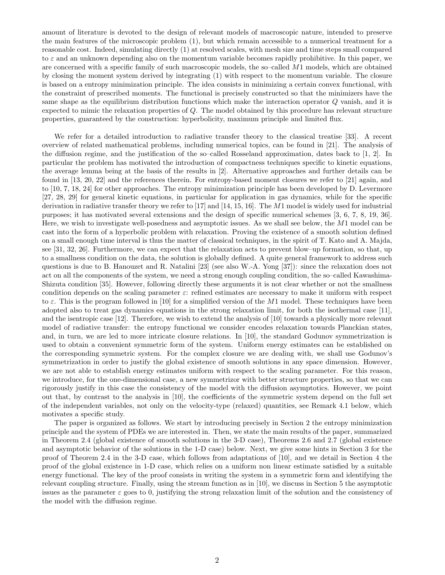amount of literature is devoted to the design of relevant models of macroscopic nature, intended to preserve the main features of the microscopic problem (1), but which remain accessible to a numerical treatment for a reasonable cost. Indeed, simulating directly (1) at resolved scales, with mesh size and time steps small compared to  $\varepsilon$  and an unknown depending also on the momentum variable becomes rapidly prohibitive. In this paper, we are concerned with a specific family of such macroscopic models, the so–called M1 models, which are obtained by closing the moment system derived by integrating (1) with respect to the momentum variable. The closure is based on a entropy minimization principle. The idea consists in minimizing a certain convex functional, with the constraint of prescribed moments. The functional is precisely constructed so that the minimizers have the same shape as the equilibrium distribution functions which make the interaction operator Q vanish, and it is expected to mimic the relaxation properties of Q. The model obtained by this procedure has relevant structure properties, guaranteed by the construction: hyperbolicity, maximum principle and limited flux.

We refer for a detailed introduction to radiative transfer theory to the classical treatise [33]. A recent overview of related mathematical problems, including numerical topics, can be found in [21]. The analysis of the diffusion regime, and the justification of the so–called Rosseland approximation, dates back to [1, 2]. In particular the problem has motivated the introduction of compactness techniques specific to kinetic equations, the average lemma being at the basis of the results in [2]. Alternative approaches and further details can be found in [13, 20, 22] and the references therein. For entropy-based moment closures we refer to [21] again, and to [10, 7, 18, 24] for other approaches. The entropy minimization principle has been developed by D. Levermore [27, 28, 29] for general kinetic equations, in particular for application in gas dynamics, while for the specific derivation in radiative transfer theory we refer to [17] and [14, 15, 16]. The  $M1$  model is widely used for industrial purposes; it has motivated several extensions and the design of specific numerical schemes [3, 6, 7, 8, 19, 36]. Here, we wish to investigate well-posedness and asymptotic issues. As we shall see below, the M1 model can be cast into the form of a hyperbolic problem with relaxation. Proving the existence of a smooth solution defined on a small enough time interval is thus the matter of classical techniques, in the spirit of T. Kato and A. Majda, see [31, 32, 26]. Furthermore, we can expect that the relaxation acts to prevent blow–up formation, so that, up to a smallness condition on the data, the solution is globally defined. A quite general framework to address such questions is due to B. Hanouzet and R. Natalini [23] (see also W.-A. Yong [37]): since the relaxation does not act on all the components of the system, we need a strong enough coupling condition, the so–called Kawashima-Shizuta condition [35]. However, following directly these arguments it is not clear whether or not the smallness condition depends on the scaling parameter  $\varepsilon$ : refined estimates are necessary to make it uniform with respect to  $\varepsilon$ . This is the program followed in [10] for a simplified version of the M1 model. These techniques have been adopted also to treat gas dynamics equations in the strong relaxation limit, for both the isothermal case [11], and the isentropic case [12]. Therefore, we wish to extend the analysis of [10] towards a physically more relevant model of radiative transfer: the entropy functional we consider encodes relaxation towards Planckian states, and, in turn, we are led to more intricate closure relations. In [10], the standard Godunov symmetrization is used to obtain a convenient symmetric form of the system. Uniform energy estimates can be established on the corresponding symmetric system. For the complex closure we are dealing with, we shall use Godunov's symmetrization in order to justify the global existence of smooth solutions in any space dimension. However, we are not able to establish energy estimates uniform with respect to the scaling parameter. For this reason, we introduce, for the one-dimensional case, a new symmetrizor with better structure properties, so that we can rigorously justify in this case the consistency of the model with the diffusion asymptotics. However, we point out that, by contrast to the analysis in [10], the coefficients of the symmetric system depend on the full set of the independent variables, not only on the velocity-type (relaxed) quantities, see Remark 4.1 below, which motivates a specific study.

The paper is organized as follows. We start by introducing precisely in Section 2 the entropy minimization principle and the system of PDEs we are interested in. Then, we state the main results of the paper, summarized in Theorem 2.4 (global existence of smooth solutions in the 3-D case), Theorems 2.6 and 2.7 (global existence and asymptotic behavior of the solutions in the 1-D case) below. Next, we give some hints in Section 3 for the proof of Theorem 2.4 in the 3-D case, which follows from adaptations of [10], and we detail in Section 4 the proof of the global existence in 1-D case, which relies on a uniform non linear estimate satisfied by a suitable energy functional. The key of the proof consists in writing the system in a symmetric form and identifying the relevant coupling structure. Finally, using the stream function as in [10], we discuss in Section 5 the asymptotic issues as the parameter  $\varepsilon$  goes to 0, justifying the strong relaxation limit of the solution and the consistency of the model with the diffusion regime.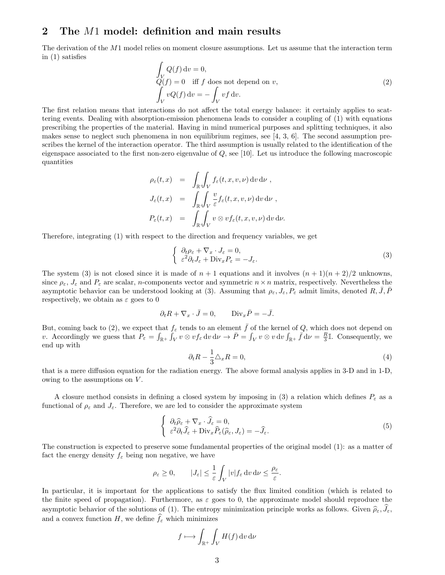## 2 The M1 model: definition and main results

The derivation of the M1 model relies on moment closure assumptions. Let us assume that the interaction term in (1) satisfies

$$
\int_{V} Q(f) dv = 0,
$$
\n
$$
Q(f) = 0 \quad \text{iff } f \text{ does not depend on } v,
$$
\n
$$
\int_{V} vQ(f) dv = -\int_{V} vf dv.
$$
\n(2)

The first relation means that interactions do not affect the total energy balance: it certainly applies to scattering events. Dealing with absorption-emission phenomena leads to consider a coupling of (1) with equations prescribing the properties of the material. Having in mind numerical purposes and splitting techniques, it also makes sense to neglect such phenomena in non equilibrium regimes, see  $[4, 3, 6]$ . The second assumption prescribes the kernel of the interaction operator. The third assumption is usually related to the identification of the eigenspace associated to the first non-zero eigenvalue of  $Q$ , see [10]. Let us introduce the following macroscopic quantities

$$
\rho_{\varepsilon}(t,x) = \int_{\mathbb{R}^+} \int_V f_{\varepsilon}(t,x,v,\nu) dv d\nu,
$$
  
\n
$$
J_{\varepsilon}(t,x) = \int_{\mathbb{R}^+} \int_V \frac{v}{\varepsilon} f_{\varepsilon}(t,x,v,\nu) dv d\nu,
$$
  
\n
$$
P_{\varepsilon}(t,x) = \int_{\mathbb{R}^+} \int_V v \otimes v f_{\varepsilon}(t,x,v,\nu) dv d\nu.
$$

Therefore, integrating (1) with respect to the direction and frequency variables, we get

$$
\begin{cases} \partial_t \rho_{\varepsilon} + \nabla_x \cdot J_{\varepsilon} = 0, \\ \varepsilon^2 \partial_t J_{\varepsilon} + \text{Div}_x P_{\varepsilon} = -J_{\varepsilon}. \end{cases} \tag{3}
$$

The system (3) is not closed since it is made of  $n + 1$  equations and it involves  $(n + 1)(n + 2)/2$  unknowns. since  $\rho_{\varepsilon}$ ,  $J_{\varepsilon}$  and  $P_{\varepsilon}$  are scalar, *n*-components vector and symmetric  $n \times n$  matrix, respectively. Nevertheless the asymptotic behavior can be understood looking at (3). Assuming that  $\rho_{\varepsilon}$ ,  $J_{\varepsilon}$ ,  $P_{\varepsilon}$  admit limits, denoted R, J, P respectively, we obtain as  $\varepsilon$  goes to 0

$$
\partial_t R + \nabla_x \cdot \bar{J} = 0, \qquad \text{Div}_x \bar{P} = -\bar{J}.
$$

But, coming back to (2), we expect that  $f_{\varepsilon}$  tends to an element  $\bar{f}$  of the kernel of Q, which does not depend on v. Accordingly we guess that  $P_{\varepsilon} = \int_{\mathbb{R}^+} \int_V v \otimes v f_{\varepsilon} \, dv \, d\nu \to \overline{P} = \int_V v \otimes v \, dv \int_{\mathbb{R}^+} \overline{f} \, d\nu = \frac{R}{3} \mathbb{I}$ . Consequently, we end up with

$$
\partial_t R - \frac{1}{3} \triangle_x R = 0,\tag{4}
$$

that is a mere diffusion equation for the radiation energy. The above formal analysis applies in 3-D and in 1-D, owing to the assumptions on V .

A closure method consists in defining a closed system by imposing in (3) a relation which defines  $P_{\varepsilon}$  as a functional of  $\rho_{\varepsilon}$  and  $J_{\varepsilon}$ . Therefore, we are led to consider the approximate system

$$
\begin{cases} \n\partial_t \widehat{\rho}_{\varepsilon} + \nabla_x \cdot \widehat{J}_{\varepsilon} = 0, \\
\varepsilon^2 \partial_t \widehat{J}_{\varepsilon} + \text{Div}_x \widehat{P}_{\varepsilon} (\widehat{\rho}_{\varepsilon}, J_{\varepsilon}) = -\widehat{J}_{\varepsilon}.\n\end{cases} \tag{5}
$$

The construction is expected to preserve some fundamental properties of the original model (1): as a matter of fact the energy density  $f_{\varepsilon}$  being non negative, we have

$$
\rho_\varepsilon\geq 0,\qquad |J_\varepsilon|\leq \frac{1}{\varepsilon}\int_V|v|f_\varepsilon\,\mathrm{d} v\,\mathrm{d}\nu\leq \frac{\rho_\varepsilon}{\varepsilon}.
$$

In particular, it is important for the applications to satisfy the flux limited condition (which is related to the finite speed of propagation). Furthermore, as  $\varepsilon$  goes to 0, the approximate model should reproduce the asymptotic behavior of the solutions of (1). The entropy minimization principle works as follows. Given  $\hat{\rho}_{\varepsilon}, \hat{J}_{\varepsilon}$ , and a convex function H, we define  $\hat{f}_{\varepsilon}$  which minimizes

$$
f \longmapsto \int_{\mathbb{R}^+} \int_V H(f) \, \mathrm{d}v \, \mathrm{d}\nu
$$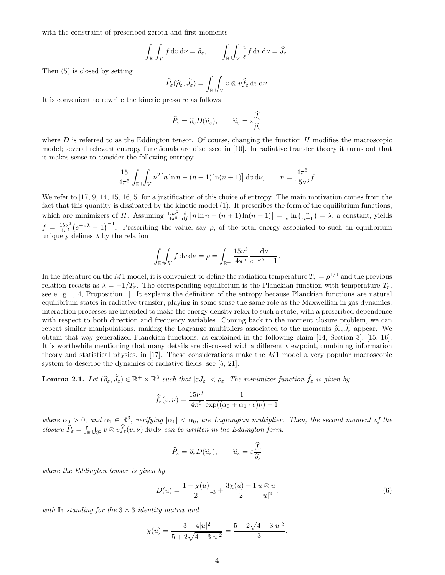with the constraint of prescribed zeroth and first moments

$$
\int_{\mathbb{R}^+} \int_V f \, dv \, d\nu = \widehat{\rho}_{\varepsilon}, \qquad \int_{\mathbb{R}^+} \int_V \frac{v}{\varepsilon} f \, dv \, d\nu = \widehat{J}_{\varepsilon}.
$$

Then (5) is closed by setting

$$
\widehat{P}_{\varepsilon}(\widehat{\rho}_{\varepsilon},\widehat{J}_{\varepsilon})=\int_{\mathbb{R}^{+}}\!\!\int_{V}v\otimes v\widehat{f}_{\varepsilon}\,\mathrm{d} v\,\mathrm{d}\nu.
$$

It is convenient to rewrite the kinetic pressure as follows

$$
\widehat{P}_{\varepsilon} = \widehat{\rho}_{\varepsilon} D(\widehat{u}_{\varepsilon}), \qquad \widehat{u}_{\varepsilon} = \varepsilon \frac{\widetilde{J}_{\varepsilon}}{\widehat{\rho}_{\varepsilon}}
$$

where  $D$  is referred to as the Eddington tensor. Of course, changing the function  $H$  modifies the macroscopic model; several relevant entropy functionals are discussed in [10]. In radiative transfer theory it turns out that it makes sense to consider the following entropy

$$
\frac{15}{4\pi^5} \int_{\mathbb{R}^+} \int_V \nu^2 [n \ln n - (n+1) \ln(n+1)] \, dv \, d\nu, \qquad n = \frac{4\pi^5}{15\nu^3} f.
$$

We refer to [17, 9, 14, 15, 16, 5] for a justification of this choice of entropy. The main motivation comes from the fact that this quantity is dissipated by the kinetic model (1). It prescribes the form of the equilibrium functions, which are minimizers of H. Assuming  $\frac{15\nu^2}{4\pi^5}$  $\frac{45\nu^2}{4\pi^5} \frac{d}{df} \left[ n \ln n - (n+1) \ln(n+1) \right] = \frac{1}{\nu} \ln \left( \frac{n}{n+1} \right) = \lambda$ , a constant, yields  $f = \frac{15\nu^3}{4\pi^5}$  $\frac{45\nu^3}{4\pi^5}(e^{-\nu\lambda}-1)^{-1}$ . Prescribing the value, say  $\rho$ , of the total energy associated to such an equilibrium uniquely defines  $\lambda$  by the relation

$$
\int_{\mathbb{R}} \int_{V} f \, dv \, d\nu = \rho = \int_{\mathbb{R}^{+}} \frac{15\nu^{3}}{4\pi^{5}} \frac{d\nu}{e^{-\nu\lambda} - 1}.
$$

In the literature on the M1 model, it is convenient to define the radiation temperature  $T_r = \rho^{1/4}$  and the previous relation recasts as  $\lambda = -1/T_r$ . The corresponding equilibrium is the Planckian function with temperature  $T_r$ see e. g. [14, Proposition 1]. It explains the definition of the entropy because Planckian functions are natural equilibrium states in radiative transfer, playing in some sense the same role as the Maxwellian in gas dynamics: interaction processes are intended to make the energy density relax to such a state, with a prescribed dependence with respect to both direction and frequency variables. Coming back to the moment closure problem, we can repeat similar manipulations, making the Lagrange multipliers associated to the moments  $\hat{\rho}_{\varepsilon}, \hat{J}_{\varepsilon}$  appear. We obtain that way generalized Planckian functions, as explained in the following claim [14, Section 3], [15, 16]. It is worthwhile mentioning that many details are discussed with a different viewpoint, combining information theory and statistical physics, in [17]. These considerations make the M1 model a very popular macroscopic system to describe the dynamics of radiative fields, see [5, 21].

**Lemma 2.1.** Let  $(\widehat{\rho}_{\varepsilon}, \widehat{J}_{\varepsilon}) \in \mathbb{R}^+ \times \mathbb{R}^3$  such that  $|\varepsilon J_{\varepsilon}| < \rho_{\varepsilon}$ . The minimizer function  $\widehat{f}_{\varepsilon}$  is given by

$$
\widehat{f}_{\varepsilon}(v,\nu) = \frac{15\nu^3}{4\pi^5} \frac{1}{\exp((\alpha_0 + \alpha_1 \cdot v)\nu) - 1}
$$

where  $\alpha_0 > 0$ , and  $\alpha_1 \in \mathbb{R}^3$ , verifying  $|\alpha_1| < \alpha_0$ , are Lagrangian multiplier. Then, the second moment of the closure  $\hat{P}_{\varepsilon} = \int_{\mathbb{R}} \int_{\mathbb{S}^2} v \otimes v \hat{f}_{\varepsilon}(v, \nu) \, \mathrm{d}v \, \mathrm{d}\nu$  can be written in the Eddington form:

$$
\widehat{P}_{\varepsilon} = \widehat{\rho}_{\varepsilon} D(\widehat{u}_{\varepsilon}), \qquad \widehat{u}_{\varepsilon} = \varepsilon \frac{\widehat{J}_{\varepsilon}}{\widehat{\rho}_{\varepsilon}}
$$

where the Eddington tensor is given by

$$
D(u) = \frac{1 - \chi(u)}{2} \mathbb{I}_3 + \frac{3\chi(u) - 1}{2} \frac{u \otimes u}{|u|^2},
$$
\n(6)

.

with  $\mathbb{I}_3$  standing for the  $3 \times 3$  identity matrix and

$$
\chi(u) = \frac{3 + 4|u|^2}{5 + 2\sqrt{4 - 3|u|^2}} = \frac{5 - 2\sqrt{4 - 3|u|^2}}{3}
$$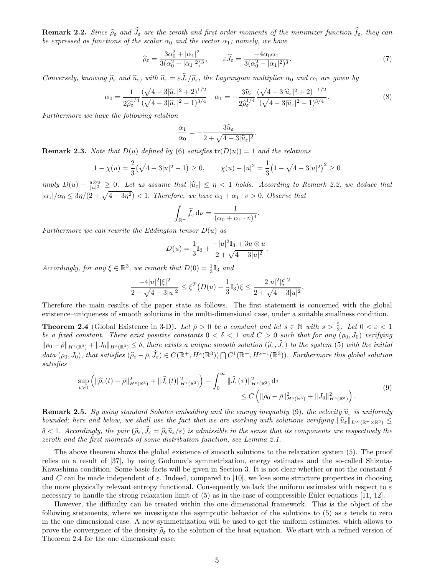**Remark 2.2.** Since  $\hat{\rho}_{\varepsilon}$  and  $\hat{J}_{\varepsilon}$  are the zeroth and first order moments of the minimizer function  $\hat{f}_{\varepsilon}$ , they can be expressed as functions of the scalar  $\alpha_0$  and the vector  $\alpha_1$ ; namely, we have

$$
\widehat{\rho}_{\varepsilon} = \frac{3\alpha_0^2 + |\alpha_1|^2}{3(\alpha_0^2 - |\alpha_1|^2)^3}, \qquad \varepsilon \widehat{J}_{\varepsilon} = \frac{-4\alpha_0 \alpha_1}{3(\alpha_0^2 - |\alpha_1|^2)^3}.
$$
\n<sup>(7)</sup>

Conversely, knowing  $\hat{\rho}_{\varepsilon}$  and  $\hat{u}_{\varepsilon}$ , with  $\hat{u}_{\varepsilon} = \varepsilon \hat{J}_{\varepsilon}/\hat{\rho}_{\varepsilon}$ , the Lagrangian multiplier  $\alpha_0$  and  $\alpha_1$  are given by

$$
\alpha_0 = \frac{1}{2\hat{\rho}_{\varepsilon}^{1/4}} \frac{(\sqrt{4-3|\hat{u}_{\varepsilon}|^2}+2)^{1/2}}{(\sqrt{4-3|\hat{u}_{\varepsilon}|^2}-1)^{3/4}} \quad \alpha_1 = -\frac{3\hat{u}_{\varepsilon}}{2\hat{\rho}_{\varepsilon}^{1/4}} \frac{(\sqrt{4-3|\hat{u}_{\varepsilon}|^2}+2)^{-1/2}}{(\sqrt{4-3|\hat{u}_{\varepsilon}|^2}-1)^{3/4}}.
$$
\n(8)

.

.

Furthermore we have the following relation

$$
\frac{\alpha_1}{\alpha_0} = -\frac{3\widehat{u}_{\varepsilon}}{2 + \sqrt{4 - 3|\widehat{u}_{\varepsilon}|^2}}
$$

**Remark 2.3.** Note that  $D(u)$  defined by (6) satisfies  $tr(D(u)) = 1$  and the relations

$$
1 - \chi(u) = \frac{2}{3}(\sqrt{4 - 3|u|^2} - 1) \ge 0, \qquad \chi(u) - |u|^2 = \frac{1}{3}(1 - \sqrt{4 - 3|u|^2})^2 \ge 0
$$

 $\{i \in [n] \mid \text{where} \; 1 \leq j \leq n \}$  assume that  $|\hat{u}_{\varepsilon}| \leq \eta < 1$  holds. According to Remark 2.2, we deduce that  $|\alpha_1|/\alpha_0 \leq 3\eta/(2+\sqrt{4-3\eta^2}) < 1$ . Therefore, we have  $\alpha_0 + \alpha_1 \cdot v > 0$ . Observe that

$$
\int_{\mathbb{R}^+} \widehat{f}_{\varepsilon} d\nu = \frac{1}{(\alpha_0 + \alpha_1 \cdot v)^4}.
$$

Furthermore we can rewrite the Eddington tensor  $D(u)$  as

$$
D(u) = \frac{1}{3}\mathbb{I}_3 + \frac{-|u|^2 \mathbb{I}_3 + 3u \otimes u}{2 + \sqrt{4 - 3|u|^2}}.
$$

Accordingly, for any  $\xi \in \mathbb{R}^3$ , we remark that  $D(0) = \frac{1}{3} \mathbb{I}_3$  and

$$
\frac{-4|u|^2|\xi|^2}{2+\sqrt{4-3|u|^2}} \le \xi^T \left(D(u) - \frac{1}{3}\mathbb{I}_3\right)\xi \le \frac{2|u|^2|\xi|^2}{2+\sqrt{4-3|u|^2}}
$$

Therefore the main results of the paper state as follows. The first statement is concerned with the global existence–uniqueness of smooth solutions in the multi-dimensional case, under a suitable smallness condition.

**Theorem 2.4** (Global Existence in 3-D). Let  $\bar{\rho} > 0$  be a constant and let  $s \in \mathbb{N}$  with  $s > \frac{5}{2}$ . Let  $0 < \varepsilon < 1$ be a fixed constant. There exist positive constants  $0 < \delta < 1$  and  $C > 0$  such that for any  $(\rho_0, J_0)$  verifying  $\|\rho_0 - \bar{\rho}\|_{H^s(\mathbb{R}^3)} + \|J_0\|_{H^s(\mathbb{R}^3)} \leq \delta$ , there exists a unique smooth solution  $(\widehat{\rho}_{\varepsilon}, \widehat{J}_{\varepsilon})$  to the system (5) with the initial data  $(\rho_0, J_0)$ , that satisfies  $(\widehat{\rho}_{\varepsilon} - \overline{\rho}, \widehat{J}_{\varepsilon}) \in C(\mathbb{R}^+, H^s(\mathbb{R}^3)) \cap C^1(\mathbb{R}^+, H^{s-1}(\mathbb{R}^3))$ . Furthermore this global solution satisfies

$$
\sup_{t>0} \left( \|\widehat{\rho}_{\varepsilon}(t) - \bar{\rho}\|_{H^{s}(\mathbb{R}^{3})}^{2} + \|\widehat{J}_{\varepsilon}(t)\|_{H^{s}(\mathbb{R}^{3})}^{2} \right) + \int_{0}^{\infty} \|\widehat{J}_{\varepsilon}(\tau)\|_{H^{s}(\mathbb{R}^{3})}^{2} d\tau \leq C \left( \|\rho_{0} - \bar{\rho}\|_{H^{s}(\mathbb{R}^{3})}^{2} + \|J_{0}\|_{H^{s}(\mathbb{R}^{3})}^{2} \right).
$$
\n(9)

**Remark 2.5.** By using standard Sobolev embedding and the energy inequality (9), the velocity  $\hat{u}_{\varepsilon}$  is uniformly bounded; here and below, we shall use the fact that we are working with solutions verifying  $\|\hat{u}_{\varepsilon}\|_{L^{\infty}(\mathbb{R}^+\times\mathbb{R}^3)} \leq$  $\delta < 1$ . Accordingly, the pair  $(\widehat{\rho}_{\varepsilon}, \widehat{J}_{\varepsilon} = \widehat{\rho}_{\varepsilon} \widehat{u}_{\varepsilon}/\varepsilon)$  is admissible in the sense that its components are respectively the zeroth and the first moments of some distribution function, see Lemma 2.1.

The above theorem shows the global existence of smooth solutions to the relaxation system (5). The proof relies on a result of [37], by using Godunov's symmetrization, energy estimates and the so-called Shizuta-Kawashima condition. Some basic facts will be given in Section 3. It is not clear whether or not the constant  $\delta$ and C can be made independent of  $\varepsilon$ . Indeed, compared to [10], we lose some structure properties in choosing the more physically relevant entropy functional. Consequently we lack the uniform estimates with respect to  $\varepsilon$ necessary to handle the strong relaxation limit of (5) as in the case of compressible Euler equations [11, 12].

However, the difficulty can be treated within the one dimensional framework. This is the object of the following stetaments, where we investigate the asymptotic behavior of the solutions to (5) as  $\varepsilon$  tends to zero in the one dimensional case. A new symmetrization will be used to get the uniform estimates, which allows to prove the convergence of the density  $\hat{\rho}_{\varepsilon}$  to the solution of the heat equation. We start with a refined version of Theorem 2.4 for the one dimensional case.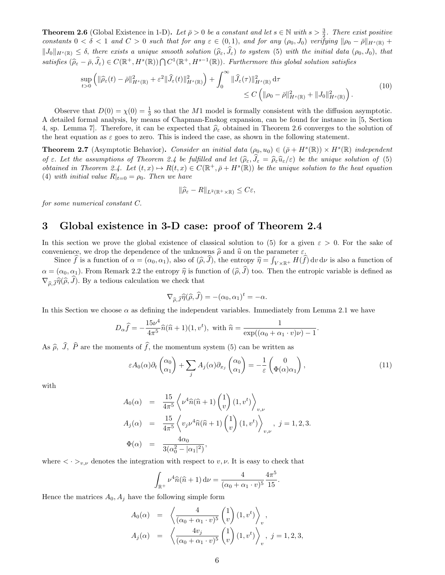**Theorem 2.6** (Global Existence in 1-D). Let  $\bar{\rho} > 0$  be a constant and let  $s \in \mathbb{N}$  with  $s > \frac{3}{2}$ . There exist positive constants  $0 < \delta < 1$  and  $C > 0$  such that for any  $\varepsilon \in (0,1)$ , and for any  $(\rho_0, J_0)$  verifying  $\|\rho_0 - \bar{\rho}\|_{H^s(\mathbb{R})}$  +  $||J_0||_{H^s(\mathbb{R})} \leq \delta$ , there exists a unique smooth solution  $(\widehat{\rho}_{\varepsilon}, \widehat{J}_{\varepsilon})$  to system (5) with the initial data  $(\rho_0, J_0)$ , that satisfies  $(\widehat{\rho}_{\varepsilon} - \overline{\rho}, \widehat{J}_{\varepsilon}) \in C(\mathbb{R}^+, H^s(\mathbb{R})) \cap C^1(\mathbb{R}^+, H^{s-1}(\mathbb{R}))$ . Furthermore this global solution satisfies

$$
\sup_{t>0} \left( \|\widehat{\rho}_{\varepsilon}(t) - \bar{\rho}\|_{H^s(\mathbb{R})}^2 + \varepsilon^2 \|\widehat{J}_{\varepsilon}(t)\|_{H^s(\mathbb{R})}^2 \right) + \int_0^\infty \|\widehat{J}_{\varepsilon}(\tau)\|_{H^s(\mathbb{R})}^2 d\tau \leq C \left( \|\rho_0 - \bar{\rho}\|_{H^s(\mathbb{R})}^2 + \|J_0\|_{H^s(\mathbb{R})}^2 \right). \tag{10}
$$

Observe that  $D(0) = \chi(0) = \frac{1}{3}$  so that the M1 model is formally consistent with the diffusion asymptotic. A detailed formal analysis, by means of Chapman-Enskog expansion, can be found for instance in [5, Section 4, sp. Lemma 7. Therefore, it can be expected that  $\hat{\rho}_{\varepsilon}$  obtained in Theorem 2.6 converges to the solution of the heat equation as  $\varepsilon$  goes to zero. This is indeed the case, as shown in the following statement.

**Theorem 2.7** (Asymptotic Behavior). Consider an initial data  $(\rho_0, u_0) \in (\bar{\rho} + H^s(\mathbb{R})) \times H^s(\mathbb{R})$  independent of  $\varepsilon$ . Let the assumptions of Theorem 2.4 be fulfilled and let  $(\hat{\rho}_{\varepsilon}, \hat{J}_{\varepsilon} = \hat{\rho}_{\varepsilon} \hat{u}_{\varepsilon}/\varepsilon)$  be the unique solution of (5) obtained in Theorem 2.4. Let  $(t, x) \mapsto R(t, x) \in C(\mathbb{R}^+, \bar{\rho} + H^s(\mathbb{R}))$  be the unique solution to the heat equation (4) with initial value  $R|_{t=0} = \rho_0$ . Then we have

$$
\|\widehat{\rho}_{\varepsilon} - R\|_{L^2(\mathbb{R}^+ \times \mathbb{R})} \leq C\varepsilon,
$$

for some numerical constant C.

### 3 Global existence in 3-D case: proof of Theorem 2.4

In this section we prove the global existence of classical solution to (5) for a given  $\varepsilon > 0$ . For the sake of convenience, we drop the dependence of the unknowns  $\hat{\rho}$  and  $\hat{u}$  on the parameter  $\varepsilon$ .

Since f is a function of  $\alpha = (\alpha_0, \alpha_1)$ , also of  $(\widehat{\rho}, \widehat{J})$ , the entropy  $\widehat{\eta} = \int_{V \times \mathbb{R}^+} H(f) dv dv$  is also a function of  $\alpha = (\alpha_0, \alpha_1)$ . From Remark 2.2 the entropy  $\hat{\eta}$  is function of  $(\hat{\rho}, \hat{J})$  too. Then the entropic variable is defined as  $\nabla_{\hat{\sigma}} \hat{\eta}(\hat{\rho}, \hat{J})$ . By a tedious calculation we check that

$$
\nabla_{\widehat{\rho},\widehat{J}}\widehat{\eta}(\widehat{\rho},\widehat{J}) = -(\alpha_0,\alpha_1)^t = -\alpha.
$$

In this Section we choose  $\alpha$  as defining the independent variables. Immediately from Lemma 2.1 we have

$$
D_{\alpha}\widehat{f} = -\frac{15\nu^4}{4\pi^5}\widehat{n}(\widehat{n}+1)(1,v^t), \text{ with } \widehat{n} = \frac{1}{\exp((\alpha_0 + \alpha_1 \cdot v)\nu) - 1}.
$$

As  $\hat{\rho}$ ,  $\hat{J}$ ,  $\hat{P}$  are the moments of  $\hat{f}$ , the momentum system (5) can be written as

$$
\varepsilon A_0(\alpha)\partial_t \begin{pmatrix} \alpha_0 \\ \alpha_1 \end{pmatrix} + \sum_j A_j(\alpha)\partial_{x_j} \begin{pmatrix} \alpha_0 \\ \alpha_1 \end{pmatrix} = -\frac{1}{\varepsilon} \begin{pmatrix} 0 \\ \Phi(\alpha)\alpha_1 \end{pmatrix},\tag{11}
$$

with

$$
A_0(\alpha) = \frac{15}{4\pi^5} \left\langle \nu^4 \hat{n} (\hat{n} + 1) \begin{pmatrix} 1 \\ v \end{pmatrix} (1, v^t) \right\rangle_{v,\nu}
$$
  
\n
$$
A_j(\alpha) = \frac{15}{4\pi^5} \left\langle v_j \nu^4 \hat{n} (\hat{n} + 1) \begin{pmatrix} 1 \\ v \end{pmatrix} (1, v^t) \right\rangle_{v,\nu}, j = 1, 2, 3.
$$
  
\n
$$
\Phi(\alpha) = \frac{4\alpha_0}{3(\alpha_0^2 - |\alpha_1|^2)},
$$

where  $\langle \cdot \rangle_{v,\nu}$  denotes the integration with respect to  $v, \nu$ . It is easy to check that

$$
\int_{\mathbb{R}^+} \nu^4 \hat{n}(\hat{n}+1) \, \mathrm{d}\nu = \frac{4}{(\alpha_0 + \alpha_1 \cdot v)^5} \frac{4\pi^5}{15}.
$$

Hence the matrices  $A_0$ ,  $A_j$  have the following simple form

$$
A_0(\alpha) = \left\langle \frac{4}{(\alpha_0 + \alpha_1 \cdot v)^5} {1 \choose v} (1, v^t) \right\rangle_v,
$$
  

$$
A_j(\alpha) = \left\langle \frac{4v_j}{(\alpha_0 + \alpha_1 \cdot v)^5} {1 \choose v} (1, v^t) \right\rangle_v, j = 1, 2, 3,
$$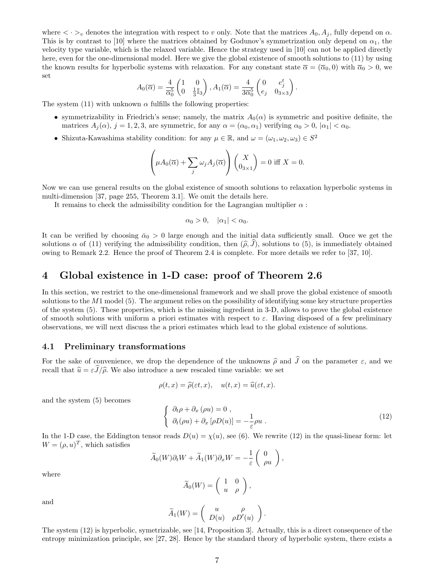where  $\langle \cdot \rangle_v$  denotes the integration with respect to v only. Note that the matrices  $A_0, A_j$ , fully depend on  $\alpha$ . This is by contrast to [10] where the matrices obtained by Godunov's symmetrization only depend on  $\alpha_1$ , the velocity type variable, which is the relaxed variable. Hence the strategy used in [10] can not be applied directly here, even for the one-dimensional model. Here we give the global existence of smooth solutions to (11) by using the known results for hyperbolic systems with relaxation. For any constant state  $\bar{\alpha} = (\bar{\alpha}_0, 0)$  with  $\bar{\alpha}_0 > 0$ , we set

$$
A_0(\overline{\alpha}) = \frac{4}{\overline{\alpha}_0^5} \begin{pmatrix} 1 & 0 \\ 0 & \frac{1}{3} \mathbb{I}_3 \end{pmatrix}, A_1(\overline{\alpha}) = \frac{4}{3 \overline{\alpha}_0^5} \begin{pmatrix} 0 & e_j^t \\ e_j & 0_{3 \times 3} \end{pmatrix}.
$$

The system (11) with unknown  $\alpha$  fulfills the following properties:

- symmetrizability in Friedrich's sense; namely, the matrix  $A_0(\alpha)$  is symmetric and positive definite, the matrices  $A_i(\alpha)$ ,  $j = 1, 2, 3$ , are symmetric, for any  $\alpha = (\alpha_0, \alpha_1)$  verifying  $\alpha_0 > 0$ ,  $|\alpha_1| < \alpha_0$ .
- Shizuta-Kawashima stability condition: for any  $\mu \in \mathbb{R}$ , and  $\omega = (\omega_1, \omega_2, \omega_3) \in S^2$

$$
\left(\mu A_0(\overline{\alpha}) + \sum_j \omega_j A_j(\overline{\alpha})\right) \begin{pmatrix} X \\ 0_{3 \times 1} \end{pmatrix} = 0 \text{ iff } X = 0.
$$

Now we can use general results on the global existence of smooth solutions to relaxation hyperbolic systems in multi-dimension [37, page 255, Theorem 3.1]. We omit the details here.

It remains to check the admissibility condition for the Lagrangian multiplier  $\alpha$ :

$$
\alpha_0 > 0, \quad |\alpha_1| < \alpha_0.
$$

It can be verified by choosing  $\bar{\alpha}_0 > 0$  large enough and the initial data sufficiently small. Once we get the solutions  $\alpha$  of (11) verifying the admissibility condition, then  $(\widehat{\rho}, J)$ , solutions to (5), is immediately obtained owing to Remark 2.2. Hence the proof of Theorem 2.4 is complete. For more details we refer to [37, 10].

## 4 Global existence in 1-D case: proof of Theorem 2.6

In this section, we restrict to the one-dimensional framework and we shall prove the global existence of smooth solutions to the  $M1$  model (5). The argument relies on the possibility of identifying some key structure properties of the system (5). These properties, which is the missing ingredient in 3-D, allows to prove the global existence of smooth solutions with uniform a priori estimates with respect to  $\varepsilon$ . Having disposed of a few preliminary observations, we will next discuss the a priori estimates which lead to the global existence of solutions.

#### 4.1 Preliminary transformations

For the sake of convenience, we drop the dependence of the unknowns  $\hat{\rho}$  and  $\hat{J}$  on the parameter  $\varepsilon$ , and we recall that  $\hat{u} = \varepsilon \hat{J}/\hat{\rho}$ . We also introduce a new rescaled time variable: we set

$$
\rho(t,x) = \widehat{\rho}(\varepsilon t,x), \quad u(t,x) = \widehat{u}(\varepsilon t,x).
$$

and the system (5) becomes

$$
\begin{cases}\n\partial_t \rho + \partial_x (\rho u) = 0, \\
\partial_t (\rho u) + \partial_x [\rho D(u)] = -\frac{1}{\varepsilon} \rho u.\n\end{cases}
$$
\n(12)

In the 1-D case, the Eddington tensor reads  $D(u) = \chi(u)$ , see (6). We rewrite (12) in the quasi-linear form: let  $W = (\rho, u)^T$ , which satisfies

$$
\widetilde{A}_0(W)\partial_t W + \widetilde{A}_1(W)\partial_x W = -\frac{1}{\varepsilon} \begin{pmatrix} 0 \\ \rho u \end{pmatrix},
$$

where

$$
\widetilde{A}_0(W) = \left( \begin{array}{cc} 1 & 0 \\ u & \rho \end{array} \right),
$$

and

$$
\widetilde{A}_1(W) = \begin{pmatrix} u & \rho \\ D(u) & \rho D'(u) \end{pmatrix}.
$$

The system (12) is hyperbolic, symetrizable, see [14, Proposition 3]. Actually, this is a direct consequence of the entropy minimization principle, see [27, 28]. Hence by the standard theory of hyperbolic system, there exists a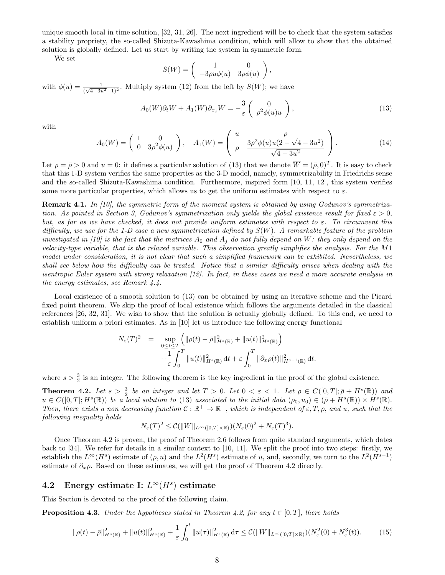unique smooth local in time solution, [32, 31, 26]. The next ingredient will be to check that the system satisfies a stability propriety, the so-called Shizuta-Kawashima condition, which will allow to show that the obtained solution is globally defined. Let us start by writing the system in symmetric form.

We set

$$
S(W) = \begin{pmatrix} 1 & 0 \\ -3\rho u\phi(u) & 3\rho\phi(u) \end{pmatrix},
$$

with  $\phi(u) = \frac{1}{(\sqrt{4-3u^2}-1)^2}$ . Multiply system (12) from the left by  $S(W)$ ; we have

$$
A_0(W)\partial_t W + A_1(W)\partial_{x_j} W = -\frac{3}{\varepsilon} \begin{pmatrix} 0 \\ \rho^2 \phi(u)u \end{pmatrix},
$$
\n(13)

with

$$
A_0(W) = \begin{pmatrix} 1 & 0 \\ 0 & 3\rho^2 \phi(u) \end{pmatrix}, \quad A_1(W) = \begin{pmatrix} u & \rho \\ \rho & \frac{3\rho^2 \phi(u)u(2 - \sqrt{4 - 3u^2})}{\sqrt{4 - 3u^2}} \end{pmatrix}.
$$
 (14)

Let  $\rho = \bar{\rho} > 0$  and  $u = 0$ : it defines a particular solution of (13) that we denote  $\overline{W} = (\bar{\rho}, 0)^T$ . It is easy to check that this 1-D system verifies the same properties as the 3-D model, namely, symmetrizability in Friedrichs sense and the so-called Shizuta-Kawashima condition. Furthermore, inspired form [10, 11, 12], this system verifies some more particular properties, which allows us to get the uniform estimates with respect to  $\varepsilon$ .

Remark 4.1. In [10], the symmetric form of the moment system is obtained by using Godunov's symmetrization. As pointed in Section 3, Godunov's symmetrization only yields the global existence result for fixed  $\varepsilon > 0$ , but, as far as we have checked, it does not provide uniform estimates with respect to  $\varepsilon$ . To circumvent this difficulty, we use for the 1-D case a new symmetrization defined by  $S(W)$ . A remarkable feature of the problem investigated in [10] is the fact that the matrices  $A_0$  and  $A_j$  do not fully depend on W: they only depend on the velocity-type variable, that is the relaxed variable. This observation greatly simplifies the analysis. For the M1 model under consideration, it is not clear that such a simplified framework can be exhibited. Nevertheless, we shall see below how the difficulty can be treated. Notice that a similar difficulty arises when dealing with the isentropic Euler system with strong relaxation [12]. In fact, in these cases we need a more accurate analysis in the energy estimates, see Remark 4.4.

Local existence of a smooth solution to (13) can be obtained by using an iterative scheme and the Picard fixed point theorem. We skip the proof of local existence which follows the arguments detailed in the classical references [26, 32, 31]. We wish to show that the solution is actually globally defined. To this end, we need to establish uniform a priori estimates. As in [10] let us introduce the following energy functional

$$
N_{\varepsilon}(T)^{2} = \sup_{\substack{0 \leq t \leq T \\ t_{\varepsilon} \leq T}} \left( \|\rho(t) - \bar{\rho}\|_{H^{s}(\mathbb{R})}^{2} + \|u(t)\|_{H^{s}(\mathbb{R})}^{2} \right) + \frac{1}{\varepsilon} \int_{0}^{T} \|u(t)\|_{H^{s}(\mathbb{R})}^{2} dt + \varepsilon \int_{0}^{T} \|\partial_{x}\rho(t)\|_{H^{s-1}(\mathbb{R})}^{2} dt.
$$

where  $s > \frac{3}{2}$  is an integer. The following theorem is the key ingredient in the proof of the global existence.

**Theorem 4.2.** Let  $s > \frac{3}{2}$  be an integer and let  $T > 0$ . Let  $0 < \varepsilon < 1$ . Let  $\rho \in C([0, T]; \bar{\rho} + H^s(\mathbb{R}))$  and  $u \in C([0,T]; H^s(\mathbb{R}))$  be a local solution to (13) associated to the initial data  $(\rho_0, u_0) \in (\bar{\rho} + H^s(\mathbb{R})) \times H^s(\mathbb{R})$ . Then, there exists a non decreasing function  $C: \mathbb{R}^+ \to \mathbb{R}^+$ , which is independent of  $\varepsilon, T, \rho$ , and u, such that the following inequality holds

$$
N_{\varepsilon}(T)^2 \leq C(||W||_{L^{\infty}([0,T]\times\mathbb{R})})(N_{\varepsilon}(0)^2 + N_{\varepsilon}(T)^3).
$$

Once Theorem 4.2 is proven, the proof of Theorem 2.6 follows from quite standard arguments, which dates back to [34]. We refer for details in a similar context to [10, 11]. We split the proof into two steps: firstly, we establish the  $L^{\infty}(H^s)$  estimate of  $(\rho, u)$  and the  $L^2(H^s)$  estimate of u, and, secondly, we turn to the  $L^2(H^{s-1})$ estimate of  $\partial_x \rho$ . Based on these estimates, we will get the proof of Theorem 4.2 directly.

## 4.2 Energy estimate I:  $L^{\infty}(H^s)$  estimate

This Section is devoted to the proof of the following claim.

**Proposition 4.3.** Under the hypotheses stated in Theorem 4.2, for any  $t \in [0, T]$ , there holds

$$
\|\rho(t) - \bar{\rho}\|_{H^s(\mathbb{R})}^2 + \|u(t)\|_{H^s(\mathbb{R})}^2 + \frac{1}{\varepsilon} \int_0^t \|u(\tau)\|_{H^s(\mathbb{R})}^2 d\tau \le C(\|W\|_{L^\infty([0,T]\times\mathbb{R})})(N_\varepsilon^2(0) + N_\varepsilon^3(t)).\tag{15}
$$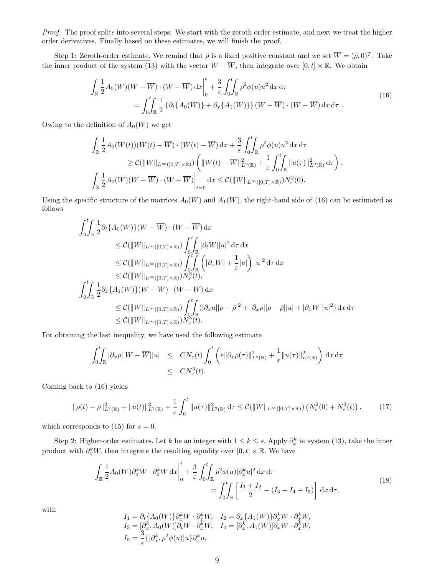Proof. The proof splits into several steps. We start with the zeroth order estimate, and next we treat the higher order derivatives. Finally based on these estimates, we will finish the proof.

Step 1: Zeroth-order estimate. We remind that  $\bar{\rho}$  is a fixed positive constant and we set  $\overline{W} = (\bar{\rho}, 0)^T$ . Take the inner product of the system (13) with the vector  $W - \overline{W}$ , then integrate over  $[0, t] \times \mathbb{R}$ . We obtain

$$
\int_{\mathbb{R}} \frac{1}{2} A_0(W)(W - \overline{W}) \cdot (W - \overline{W}) dx \Big|_{0}^{t} + \frac{3}{\varepsilon} \int_{0}^{t} \int_{\mathbb{R}} \rho^2 \phi(u) u^2 dx d\tau
$$
\n
$$
= \int_{0}^{t} \int_{\mathbb{R}} \frac{1}{2} \left\{ \partial_t \{ A_0(W) \} + \partial_x \{ A_1(W) \} \right\} (W - \overline{W}) \cdot (W - \overline{W}) dx d\tau .
$$
\n(16)

Owing to the definition of  $A_0(W)$  we get

$$
\int_{\mathbb{R}} \frac{1}{2} A_0(W(t))(W(t) - \overline{W}) \cdot (W(t) - \overline{W}) dx + \frac{3}{\varepsilon} \int_0^t \int_{\mathbb{R}} \rho^2 \phi(u) u^2 dx d\tau
$$
  
\n
$$
\geq C(||W||_{L^{\infty}([0,T] \times \mathbb{R})}) \left( ||W(t) - \overline{W}||_{L^2(\mathbb{R})}^2 + \frac{1}{\varepsilon} \int_0^t \int_{\mathbb{R}} ||u(\tau)||_{L^2(\mathbb{R})}^2 d\tau \right),
$$
  
\n
$$
\int_{\mathbb{R}} \frac{1}{2} A_0(W)(W - \overline{W}) \cdot (W - \overline{W}) \Big|_{t=0} dx \leq C(||W||_{L^{\infty}([0,T] \times \mathbb{R})}) N_{\varepsilon}^2(0).
$$

Using the specific structure of the matrices  $A_0(W)$  and  $A_1(W)$ , the right-hand side of (16) can be estimated as follows

$$
\int_{0}^{t} \int_{\mathbb{R}} \frac{1}{2} \partial_{t} \{A_{0}(W)\}(W - \overline{W}) \cdot (W - \overline{W}) dx
$$
  
\n
$$
\leq C(\|W\|_{L^{\infty}([0, T] \times \mathbb{R})}) \int_{0}^{t} \int_{\mathbb{R}} |\partial_{t}W||u|^{2} d\tau dx
$$
  
\n
$$
\leq C(\|W\|_{L^{\infty}([0, T] \times \mathbb{R})}) \int_{0}^{t} \int_{\mathbb{R}} (|\partial_{x}W| + \frac{1}{\varepsilon}|u|) |u|^{2} d\tau dx
$$
  
\n
$$
\leq C(\|W\|_{L^{\infty}([0, T] \times \mathbb{R})}) N_{\varepsilon}^{3}(t),
$$
  
\n
$$
\int_{0}^{t} \int_{\mathbb{R}} \frac{1}{2} \partial_{x} \{A_{1}(W)\}(W - \overline{W}) \cdot (W - \overline{W}) dx
$$
  
\n
$$
\leq C(\|W\|_{L^{\infty}([0, T] \times \mathbb{R})}) \int_{0}^{t} \int_{\mathbb{R}} (|\partial_{x}u||\rho - \overline{\rho}|^{2} + |\partial_{x}\rho||\rho - \overline{\rho}||u| + |\partial_{x}W||u|^{2}) dx d\tau
$$
  
\n
$$
\leq C(\|W\|_{L^{\infty}([0, T] \times \mathbb{R})}) N_{\varepsilon}^{3}(t).
$$

For obtaining the last inequality, we have used the following estimate

$$
\int_0^t \int_{\mathbb{R}} |\partial_x \rho| |W - \overline{W}| |u| \le CN_{\varepsilon}(t) \int_0^t \left( \varepsilon ||\partial_x \rho(\tau)||_{L^2(\mathbb{R})}^2 + \frac{1}{\varepsilon} ||u(\tau)||_{L^2(\mathbb{R})}^2 \right) dx d\tau
$$
  

$$
\le CN_{\varepsilon}^3(t).
$$

Coming back to (16) yields

$$
\|\rho(t) - \bar{\rho}\|_{L^2(\mathbb{R})}^2 + \|u(t)\|_{L^2(\mathbb{R})}^2 + \frac{1}{\varepsilon} \int_0^t \|u(\tau)\|_{L^2(\mathbb{R})}^2 d\tau \le C(\|W\|_{L^\infty([0,T]\times\mathbb{R})}) \left(N_\varepsilon^2(0) + N_\varepsilon^3(t)\right),\tag{17}
$$

which corresponds to (15) for  $s = 0$ .

Step 2: Higher-order estimates. Let k be an integer with  $1 \leq k \leq s$ . Apply  $\partial_x^k$  to system (13), take the inner product with  $\partial_x^k W$ , then integrate the resulting equality over  $[0, t] \times \mathbb{R}$ . We have

$$
\int_{\mathbb{R}} \frac{1}{2} A_0(W) \partial_x^k W \cdot \partial_x^k W \, dx \bigg|_0^t + \frac{3}{\varepsilon} \int_0^t \int_{\mathbb{R}} \rho^2 \phi(u) |\partial_x^k u|^2 \, dx \, d\tau\n= \int_0^t \int_{\mathbb{R}} \left[ \frac{I_1 + I_2}{2} - (I_3 + I_4 + I_5) \right] \, dx \, d\tau,
$$
\n(18)

with

$$
I_1 = \partial_t \{ A_0(W) \} \partial_x^k W \cdot \partial_x^k W, \quad I_2 = \partial_x \{ A_1(W) \} \partial_x^k W \cdot \partial_x^k W,
$$
  
\n
$$
I_3 = [\partial_x^k, A_0(W)] \partial_t W \cdot \partial_x^k W, \quad I_4 = [\partial_x^k, A_1(W)] \partial_x W \cdot \partial_x^k W,
$$
  
\n
$$
I_5 = \frac{3}{\varepsilon} \{ [\partial_x^k, \rho^2 \phi(u)] u \} \partial_x^k u,
$$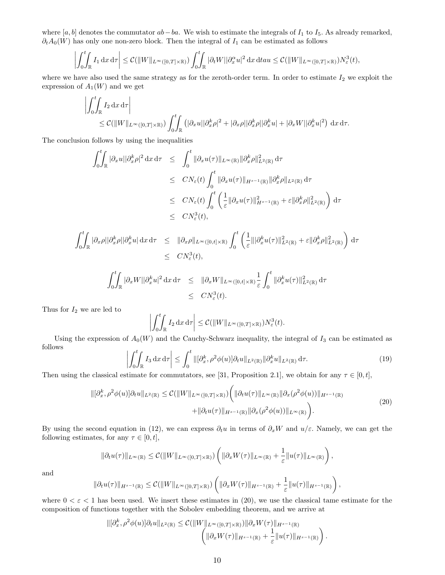where [a, b] denotes the commutator  $ab-ba$ . We wish to estimate the integrals of  $I_1$  to  $I_5$ . As already remarked,  $\partial_t A_0(W)$  has only one non-zero block. Then the integral of  $I_1$  can be estimated as follows

$$
\left| \int_0^t \int_{\mathbb{R}} I_1 \, dx \, d\tau \right| \leq C(||W||_{L^\infty([0,T]\times\mathbb{R})}) \int_0^t \int_{\mathbb{R}} |\partial_t W| |\partial_x^{\alpha} u|^2 \, dx \, dt \leq C(||W||_{L^\infty([0,T]\times\mathbb{R})}) N_\varepsilon^3(t),
$$

where we have also used the same strategy as for the zeroth-order term. In order to estimate  $I_2$  we exploit the expression of  $A_1(W)$  and we get

$$
\left| \int_0^t \int_{\mathbb{R}} I_2 \, dx \, d\tau \right|
$$
  
\n
$$
\leq C(||W||_{L^{\infty}([0,T]\times\mathbb{R})}) \int_0^t \int_{\mathbb{R}} \left( |\partial_x u| |\partial_x^k \rho|^2 + |\partial_x \rho| |\partial_x^k \rho| |\partial_x^k u| + |\partial_x W| |\partial_x^k u|^2 \right) \, dx \, d\tau.
$$

The conclusion follows by using the inequalities

$$
\int_0^t \int_{\mathbb{R}} |\partial_x u| |\partial_x^k \rho|^2 dx d\tau \leq \int_0^t \|\partial_x u(\tau)\|_{L^\infty(\mathbb{R})} \|\partial_x^k \rho\|_{L^2(\mathbb{R})}^2 d\tau
$$
  
\n
$$
\leq CN_{\varepsilon}(t) \int_0^t \|\partial_x u(\tau)\|_{H^{s-1}(\mathbb{R})} \|\partial_x^k \rho\|_{L^2(\mathbb{R})} d\tau
$$
  
\n
$$
\leq CN_{\varepsilon}(t) \int_0^t \left(\frac{1}{\varepsilon} \|\partial_x u(\tau)\|_{H^{s-1}(\mathbb{R})}^2 + \varepsilon \|\partial_x^k \rho\|_{L^2(\mathbb{R})}^2\right) d\tau
$$
  
\n
$$
\leq CN_{\varepsilon}(t),
$$

$$
\int_0^t \int_{\mathbb{R}} |\partial_x \rho| |\partial_x^k \rho| |\partial_x^k u| dx d\tau \leq \|\partial_x \rho\|_{L^\infty([0,t]\times\mathbb{R})} \int_0^t \left(\frac{1}{\varepsilon} \|\partial_x^k u(\tau)\|_{L^2(\mathbb{R})}^2 + \varepsilon \|\partial_x^k \rho\|_{L^2(\mathbb{R})}^2\right) d\tau
$$
  

$$
\leq CN_\varepsilon^3(t),
$$

$$
\int_0^t \int_{\mathbb{R}} |\partial_x W| |\partial_x^k u|^2 \, \mathrm{d}x \, \mathrm{d}\tau \leq \| \partial_x W \|_{L^\infty([0,t] \times \mathbb{R})} \frac{1}{\varepsilon} \int_0^t \| \partial_x^k u(\tau) \|_{L^2(\mathbb{R})}^2 \, \mathrm{d}\tau
$$
  

$$
\leq C N_\varepsilon^3(t).
$$

Thus for  $I_2$  we are led to

$$
\left| \int_0^t \int_{\mathbb{R}} I_2 \, dx \, d\tau \right| \leq C \left( \|W\|_{L^\infty([0,T] \times \mathbb{R})} \right) N_\varepsilon^3(t).
$$

Using the expression of  $A_0(W)$  and the Cauchy-Schwarz inequality, the integral of  $I_3$  can be estimated as follows

$$
\left| \int_0^t \int_{\mathbb{R}} I_3 \, dx \, d\tau \right| \le \int_0^t \| [\partial_x^k, \rho^2 \phi(u)] \partial_t u \|_{L^2(\mathbb{R})} \| \partial_x^k u \|_{L^2(\mathbb{R})} \, d\tau. \tag{19}
$$

Then using the classical estimate for commutators, see [31, Proposition 2.1], we obtain for any  $\tau \in [0, t]$ ,

$$
\|[\partial_x^k, \rho^2 \phi(u)] \partial_t u\|_{L^2(\mathbb{R})} \leq C(\|W\|_{L^\infty([0,T]\times\mathbb{R})}) \left( \|\partial_t u(\tau)\|_{L^\infty(\mathbb{R})} \|\partial_x (\rho^2 \phi(u))\|_{H^{s-1}(\mathbb{R})} + \|\partial_t u(\tau)\|_{H^{s-1}(\mathbb{R})} \|\partial_x (\rho^2 \phi(u))\|_{L^\infty(\mathbb{R})} \right).
$$
\n(20)

By using the second equation in (12), we can express  $\partial_t u$  in terms of  $\partial_x W$  and  $u/\varepsilon$ . Namely, we can get the following estimates, for any  $\tau \in [0, t]$ ,

$$
\|\partial_t u(\tau)\|_{L^{\infty}(\mathbb{R})} \leq C(\|W\|_{L^{\infty}([0,T]\times\mathbb{R})}) \left( \|\partial_x W(\tau)\|_{L^{\infty}(\mathbb{R})} + \frac{1}{\varepsilon} \|u(\tau)\|_{L^{\infty}(\mathbb{R})} \right),
$$

and

$$
\|\partial_t u(\tau)\|_{H^{s-1}(\mathbb{R})} \leq C(\|W\|_{L^\infty([0,T]\times\mathbb{R})}) \left( \|\partial_x W(\tau)\|_{H^{s-1}(\mathbb{R})} + \frac{1}{\varepsilon} \|u(\tau)\|_{H^{s-1}(\mathbb{R})} \right),
$$

where  $0 < \varepsilon < 1$  has been used. We insert these estimates in (20), we use the classical tame estimate for the composition of functions together with the Sobolev embedding theorem, and we arrive at

$$
\|[\partial_x^k, \rho^2 \phi(u)] \partial_t u\|_{L^2(\mathbb{R})} \leq C(\|W\|_{L^\infty([0,T]\times\mathbb{R})}) \|\partial_x W(\tau)\|_{H^{s-1}(\mathbb{R})}\n \left(\|\partial_x W(\tau)\|_{H^{s-1}(\mathbb{R})} + \frac{1}{\varepsilon} \|u(\tau)\|_{H^{s-1}(\mathbb{R})}\right).
$$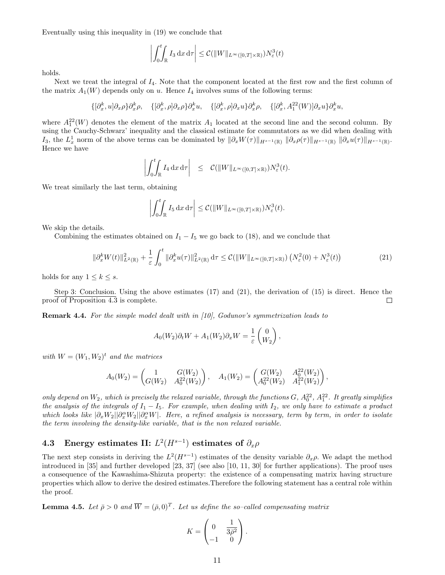Eventually using this inequality in (19) we conclude that

$$
\left| \int_0^t \int_{\mathbb{R}} I_3 \, dx \, d\tau \right| \leq C (||W||_{L^\infty([0,T]\times \mathbb{R})}) N_\varepsilon^3(t)
$$

holds.

Next we treat the integral of  $I_4$ . Note that the component located at the first row and the first column of the matrix  $A_1(W)$  depends only on u. Hence  $I_4$  involves sums of the following terms:

$$
\{[\partial_x^k, u]\partial_x \rho\}\partial_x^k \rho, \quad \{[\partial_x^k, \rho]\partial_x \rho\}\partial_x^k u, \quad \{[\partial_x^k, \rho]\partial_x u\}\partial_x^k \rho, \quad \{[\partial_x^k, A_1^{22}(W)]\partial_x u\}\partial_x^k u,
$$

where  $A_1^{22}(W)$  denotes the element of the matrix  $A_1$  located at the second line and the second column. By using the Cauchy-Schwarz' inequality and the classical estimate for commutators as we did when dealing with  $I_3$ , the  $L_x^1$  norm of the above terms can be dominated by  $\|\partial_x W(\tau)\|_{H^{s-1}(\mathbb{R})} \|\partial_x \rho(\tau)\|_{H^{s-1}(\mathbb{R})} \|\partial_x u(\tau)\|_{H^{s-1}(\mathbb{R})}$ . Hence we have

$$
\left| \int_0^t \int_{\mathbb{R}} I_4 \, dx \, d\tau \right| \leq C ( \|W\|_{L^\infty([0,T]\times \mathbb{R})}) N_\varepsilon^3(t).
$$

We treat similarly the last term, obtaining

$$
\left| \int_0^t \int_{\mathbb{R}} I_5 \, dx \, d\tau \right| \leq C \big( \|W\|_{L^\infty([0,T] \times \mathbb{R})} \big) N_\varepsilon^3(t).
$$

We skip the details.

Combining the estimates obtained on  $I_1 - I_5$  we go back to (18), and we conclude that

$$
\|\partial_x^k W(t)\|_{L^2(\mathbb{R})}^2 + \frac{1}{\varepsilon} \int_0^t \|\partial_x^k u(\tau)\|_{L^2(\mathbb{R})}^2 d\tau \leq C(\|W\|_{L^\infty([0,T]\times\mathbb{R})}) \left(N_\varepsilon^2(0) + N_\varepsilon^3(t)\right) \tag{21}
$$

holds for any  $1 \leq k \leq s$ .

Step 3: Conclusion. Using the above estimates (17) and (21), the derivation of (15) is direct. Hence the proof of Proposition 4.3 is complete.  $\Box$ 

Remark 4.4. For the simple model dealt with in [10], Godunov's symmetrization leads to

$$
A_0(W_2)\partial_t W + A_1(W_2)\partial_x W = \frac{1}{\varepsilon} \begin{pmatrix} 0 \\ W_2 \end{pmatrix},
$$

with  $W = (W_1, W_2)^t$  and the matrices

$$
A_0(W_2) = \begin{pmatrix} 1 & G(W_2) \\ G(W_2) & A_0^{22}(W_2) \end{pmatrix}, \quad A_1(W_2) = \begin{pmatrix} G(W_2) & A_0^{22}(W_2) \\ A_0^{22}(W_2) & A_1^{22}(W_2) \end{pmatrix},
$$

only depend on  $W_2$ , which is precisely the relaxed variable, through the functions  $G$ ,  $A_0^{22}$ ,  $A_1^{22}$ . It greatly simplifies the analysis of the integrals of  $I_1 - I_5$ . For example, when dealing with  $I_2$ , we only have to estimate a product which looks like  $|\partial_x W_2| |\partial_x^{\alpha} W_2| |\partial_x^{\alpha} W|$ . Here, a refined analysis is necessary, term by term, in order to isolate the term involving the density-like variable, that is the non relaxed variable.

## 4.3 Energy estimates II:  $L^2(H^{s-1})$  estimates of  $\partial_x \rho$

The next step consists in deriving the  $L^2(H^{s-1})$  estimates of the density variable  $\partial_x \rho$ . We adapt the method introduced in [35] and further developed [23, 37] (see also [10, 11, 30] for further applications). The proof uses a consequence of the Kawashima-Shizuta property: the existence of a compensating matrix having structure properties which allow to derive the desired estimates.Therefore the following statement has a central role within the proof.

**Lemma 4.5.** Let  $\bar{\rho} > 0$  and  $\overline{W} = (\bar{\rho}, 0)^T$ . Let us define the so-called compensating matrix

$$
K = \begin{pmatrix} 0 & \frac{1}{3\bar{\rho}^2} \\ -1 & 0 \end{pmatrix}.
$$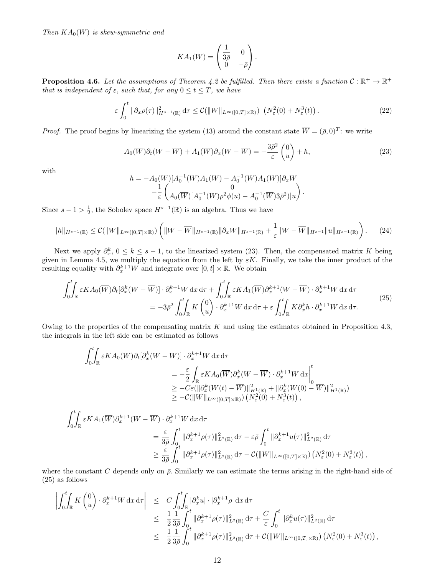Then  $KA_0(\overline{W})$  is skew-symmetric and

$$
KA_1(\overline{W}) = \begin{pmatrix} \frac{1}{3\overline{\rho}} & 0\\ 0 & -\overline{\rho} \end{pmatrix}.
$$

**Proposition 4.6.** Let the assumptions of Theorem 4.2 be fulfilled. Then there exists a function  $C : \mathbb{R}^+ \to \mathbb{R}^+$ that is independent of  $\varepsilon$ , such that, for any  $0 \le t \le T$ , we have

$$
\varepsilon \int_0^t \|\partial_x \rho(\tau)\|_{H^{s-1}(\mathbb{R})}^2 d\tau \leq C(\|W\|_{L^\infty([0,T]\times\mathbb{R})}) \left(N_\varepsilon^2(0) + N_\varepsilon^3(t)\right). \tag{22}
$$

*Proof.* The proof begins by linearizing the system (13) around the constant state  $\overline{W} = (\overline{\rho}, 0)^T$ : we write

$$
A_0(\overline{W})\partial_t(W - \overline{W}) + A_1(\overline{W})\partial_x(W - \overline{W}) = -\frac{3\overline{\rho}^2}{\varepsilon} \begin{pmatrix} 0\\u \end{pmatrix} + h,\tag{23}
$$

with

$$
h = -A_0(\overline{W})[A_0^{-1}(W)A_1(W) - A_0^{-1}(\overline{W})A_1(\overline{W})]\partial_x W - \frac{1}{\varepsilon} \begin{pmatrix} 0 \\ A_0(\overline{W})[A_0^{-1}(W)\rho^2\phi(u) - A_0^{-1}(\overline{W})3\overline{\rho}^2)]u \end{pmatrix}.
$$

Since  $s - 1 > \frac{1}{2}$ , the Sobolev space  $H^{s-1}(\mathbb{R})$  is an algebra. Thus we have

$$
||h||_{H^{s-1}(\mathbb{R})} \leq C(||W||_{L^{\infty}([0,T]\times\mathbb{R})})\left(||W - \overline{W}||_{H^{s-1}(\mathbb{R})}||\partial_x W||_{H^{s-1}(\mathbb{R})} + \frac{1}{\varepsilon}||W - \overline{W}||_{H^{s-1}}||u||_{H^{s-1}(\mathbb{R})}\right).
$$
 (24)

Next we apply  $\partial_x^k$ ,  $0 \leq k \leq s-1$ , to the linearized system (23). Then, the compensated matrix K being given in Lemma 4.5, we multiply the equation from the left by  $\varepsilon K$ . Finally, we take the inner product of the resulting equality with  $\partial_x^{k+1}W$  and integrate over  $[0, t] \times \mathbb{R}$ . We obtain

$$
\int_{0}^{t} \int_{\mathbb{R}} \varepsilon K A_{0}(\overline{W}) \partial_{t} [\partial_{x}^{k}(W - \overline{W})] \cdot \partial_{x}^{k+1} W \, dx \, d\tau + \int_{0}^{t} \int_{\mathbb{R}} \varepsilon K A_{1}(\overline{W}) \partial_{x}^{k+1}(W - \overline{W}) \cdot \partial_{x}^{k+1} W \, dx \, d\tau
$$
\n
$$
= -3\bar{\rho}^{2} \int_{0}^{t} K \begin{pmatrix} 0 \\ u \end{pmatrix} \cdot \partial_{x}^{k+1} W \, dx \, d\tau + \varepsilon \int_{0}^{t} K \partial_{x}^{k} h \cdot \partial_{x}^{k+1} W \, dx \, d\tau.
$$
\n(25)

Owing to the properties of the compensating matrix  $K$  and using the estimates obtained in Proposition 4.3, the integrals in the left side can be estimated as follows

$$
\int_{0}^{t} \int_{\mathbb{R}} \varepsilon KA_{0}(\overline{W}) \partial_{t}[\partial_{x}^{k}(W - \overline{W})] \cdot \partial_{x}^{k+1}W \,dx \,d\tau
$$
\n
$$
= -\frac{\varepsilon}{2} \int_{\mathbb{R}} \varepsilon KA_{0}(\overline{W}) \partial_{x}^{k}(W - \overline{W}) \cdot \partial_{x}^{k+1}W \,dx \Big|_{0}^{t}
$$
\n
$$
\geq -C\varepsilon(||\partial_{x}^{k}(W(t) - \overline{W})||_{H^{1}(\mathbb{R})}^{2} + ||\partial_{x}^{k}(W(0) - \overline{W})||_{H^{1}(\mathbb{R})}^{2})
$$
\n
$$
\geq -C(||W||_{L^{\infty}([0, T] \times \mathbb{R})}) \left(N_{\varepsilon}^{2}(0) + N_{\varepsilon}^{3}(t)\right),
$$

$$
\int_{0}^{t} \int_{\mathbb{R}} \varepsilon KA_{1}(\overline{W}) \partial_{x}^{k+1}(W - \overline{W}) \cdot \partial_{x}^{k+1}W dx d\tau
$$
\n
$$
= \frac{\varepsilon}{3\overline{\rho}} \int_{0}^{t} \|\partial_{x}^{k+1}\rho(\tau)\|_{L^{2}(\mathbb{R})}^{2} d\tau - \varepsilon \overline{\rho} \int_{0}^{t} \|\partial_{x}^{k+1}u(\tau)\|_{L^{2}(\mathbb{R})}^{2} d\tau
$$
\n
$$
\geq \frac{\varepsilon}{3\overline{\rho}} \int_{0}^{t} \|\partial_{x}^{k+1}\rho(\tau)\|_{L^{2}(\mathbb{R})}^{2} d\tau - \mathcal{C}(\|W\|_{L^{\infty}([0,T]\times\mathbb{R})}) \left(N_{\varepsilon}^{2}(0) + N_{\varepsilon}^{3}(t)\right),
$$

where the constant C depends only on  $\bar{\rho}$ . Similarly we can estimate the terms arising in the right-hand side of (25) as follows

$$
\left| \int_0^t \int_{\mathbb{R}} K \begin{pmatrix} 0 \\ u \end{pmatrix} \cdot \partial_x^{k+1} W \, dx \, d\tau \right| \leq C \int_0^t \int_{\mathbb{R}} |\partial_x^k u| \cdot |\partial_x^{k+1} \rho| \, dx \, d\tau \n\leq \frac{1}{2} \frac{1}{3\bar{\rho}} \int_0^t \|\partial_x^{k+1} \rho(\tau)\|_{L^2(\mathbb{R})}^2 \, d\tau + \frac{C}{\varepsilon} \int_0^t \|\partial_x^k u(\tau)\|_{L^2(\mathbb{R})}^2 \, d\tau \n\leq \frac{1}{2} \frac{1}{3\bar{\rho}} \int_0^t \|\partial_x^{k+1} \rho(\tau)\|_{L^2(\mathbb{R})}^2 \, d\tau + \mathcal{C}(\|W\|_{L^\infty([0,T]\times\mathbb{R})}) \left(N_\varepsilon^2(0) + N_\varepsilon^3(t)\right),
$$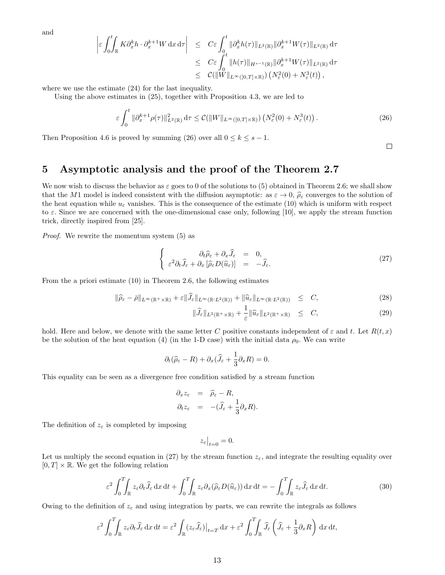and

$$
\begin{array}{rcl} \left| \varepsilon \int_0^t K \partial_x^k h \cdot \partial_x^{k+1} W \, dx \, d\tau \right| & \leq & C \varepsilon \int_0^t \|\partial_x^k h(\tau)\|_{L^2(\mathbb{R})} \|\partial_x^{k+1} W(\tau)\|_{L^2(\mathbb{R})} \, d\tau \\ & \leq & C \varepsilon \int_0^t \|h(\tau)\|_{H^{s-1}(\mathbb{R})} \|\partial_x^{k+1} W(\tau)\|_{L^2(\mathbb{R})} \, d\tau \\ & \leq & \mathcal{C}(\|W\|_{L^\infty([0,T]\times\mathbb{R})}) \left( N_\varepsilon^2(0) + N_\varepsilon^3(t) \right), \end{array}
$$

where we use the estimate (24) for the last inequality.

Using the above estimates in (25), together with Proposition 4.3, we are led to

$$
\varepsilon \int_0^t \|\partial_x^{k+1} \rho(\tau)\|_{L^2(\mathbb{R})}^2 d\tau \leq C(\|W\|_{L^\infty([0,T]\times\mathbb{R})}) \left(N_\varepsilon^2(0) + N_\varepsilon^3(t)\right). \tag{26}
$$

Then Proposition 4.6 is proved by summing (26) over all  $0 \le k \le s - 1$ .

## 5 Asymptotic analysis and the proof of the Theorem 2.7

We now wish to discuss the behavior as  $\varepsilon$  goes to 0 of the solutions to (5) obtained in Theorem 2.6; we shall show that the M1 model is indeed consistent with the diffusion asymptotic: as  $\varepsilon \to 0$ ,  $\rho_{\varepsilon}$  converges to the solution of the heat equation while  $u_{\varepsilon}$  vanishes. This is the consequence of the estimate (10) which is uniform with respect to  $\varepsilon$ . Since we are concerned with the one-dimensional case only, following [10], we apply the stream function trick, directly inspired from [25].

Proof. We rewrite the momentum system (5) as

$$
\begin{cases}\n\partial_t \hat{\rho}_{\varepsilon} + \partial_x \hat{J}_{\varepsilon} = 0, \\
\varepsilon^2 \partial_t \hat{J}_{\varepsilon} + \partial_x \left[ \hat{\rho}_{\varepsilon} D(\hat{u}_{\varepsilon}) \right] = -\hat{J}_{\varepsilon}.\n\end{cases}
$$
\n(27)

From the a priori estimate (10) in Theorem 2.6, the following estimates

$$
\|\widehat{\rho}_{\varepsilon} - \bar{\rho}\|_{L^{\infty}(\mathbb{R}^+ \times \mathbb{R})} + \varepsilon \|\widehat{J}_{\varepsilon}\|_{L^{\infty}(\mathbb{R}^+ L^2(\mathbb{R}))} + \|\widehat{u}_{\varepsilon}\|_{L^{\infty}(\mathbb{R}^+ L^2(\mathbb{R}))} \leq C,
$$
\n(28)

$$
\|\widehat{J}_{\varepsilon}\|_{L^{2}(\mathbb{R}^{+}\times\mathbb{R})}+\frac{1}{\varepsilon}\|\widehat{u}_{\varepsilon}\|_{L^{2}(\mathbb{R}^{+}\times\mathbb{R})}\quad\leq\quad C,\tag{29}
$$

hold. Here and below, we denote with the same letter C positive constants independent of  $\varepsilon$  and t. Let  $R(t, x)$ be the solution of the heat equation (4) (in the 1-D case) with the initial data  $\rho_0$ . We can write

$$
\partial_t(\widehat{\rho}_{\varepsilon} - R) + \partial_x(\widehat{J}_{\varepsilon} + \frac{1}{3}\partial_x R) = 0.
$$

This equality can be seen as a divergence free condition satisfied by a stream function

$$
\partial_x z_{\varepsilon} = \widehat{\rho}_{\varepsilon} - R,
$$
  

$$
\partial_t z_{\varepsilon} = -(\widehat{J}_{\varepsilon} + \frac{1}{3} \partial_x R).
$$

The definition of  $z_{\varepsilon}$  is completed by imposing

$$
z_{\varepsilon}\big|_{t=0}=0.
$$

Let us multiply the second equation in (27) by the stream function  $z_{\varepsilon}$ , and integrate the resulting equality over  $[0, T] \times \mathbb{R}$ . We get the following relation

$$
\varepsilon^2 \int_0^T \int_{\mathbb{R}} z_\varepsilon \partial_t \widehat{J}_\varepsilon \, dx \, dt + \int_0^T \int_{\mathbb{R}} z_\varepsilon \partial_x (\widehat{\rho}_\varepsilon D(\widehat{u}_\varepsilon)) \, dx \, dt = - \int_0^T \int_{\mathbb{R}} z_\varepsilon \widehat{J}_\varepsilon \, dx \, dt. \tag{30}
$$

Owing to the definition of  $z_{\varepsilon}$  and using integration by parts, we can rewrite the integrals as follows

$$
\varepsilon^2 \int_0^T \int_{\mathbb{R}} z_\varepsilon \partial_t \widehat{J}_\varepsilon \, dx \, dt = \varepsilon^2 \int_{\mathbb{R}} (z_\varepsilon \widehat{J}_\varepsilon)|_{t=T} \, dx + \varepsilon^2 \int_0^T \int_{\mathbb{R}} \widehat{J}_\varepsilon \left( \widehat{J}_\varepsilon + \frac{1}{3} \partial_x R \right) \, dx \, dt,
$$

 $\Box$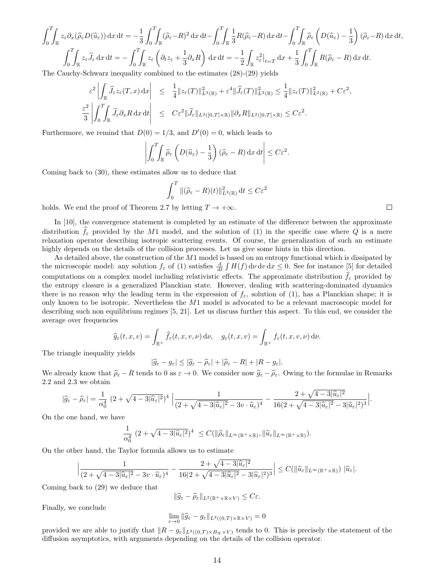$$
\int_0^T \int_{\mathbb{R}} z_{\varepsilon} \partial_x (\widehat{\rho}_{\varepsilon} D(\widehat{u}_{\varepsilon})) dx dt = -\frac{1}{3} \int_0^T \int_{\mathbb{R}} (\widehat{\rho}_{\varepsilon} - R)^2 dx dt - \int_0^T \int_{\mathbb{R}} \frac{1}{3} R(\widehat{\rho}_{\varepsilon} - R) dx dt - \int_0^T \int_{\mathbb{R}} \widehat{\rho}_{\varepsilon} \left( D(\widehat{u}_{\varepsilon}) - \frac{1}{3} \right) (\widehat{\rho}_{\varepsilon} - R) dx dt,
$$
  

$$
\int_0^T \int_{\mathbb{R}} z_{\varepsilon} \widehat{J}_{\varepsilon} dx dt = -\int_0^T \int_{\mathbb{R}} z_{\varepsilon} \left( \partial_t z_{\varepsilon} + \frac{1}{3} \partial_x R \right) dx dt = -\frac{1}{2} \int_{\mathbb{R}} z_{\varepsilon}^2 \Big|_{t=T} dx + \frac{1}{3} \int_0^T \int_{\mathbb{R}} R(\widehat{\rho}_{\varepsilon} - R) dx dt.
$$

The Cauchy-Schwarz inequality combined to the estimates (28)-(29) yields

$$
\frac{\varepsilon^2}{3} \left| \int_{\mathbb{R}} \widehat{J}_{\varepsilon} z_{\varepsilon}(T, x) dx \right| \leq \frac{1}{4} \|z_{\varepsilon}(T)\|_{L^2(\mathbb{R})}^2 + \varepsilon^4 \|\widehat{J}_{\varepsilon}(T)\|_{L^2(\mathbb{R})}^2 \leq \frac{1}{4} \|z_{\varepsilon}(T)\|_{L^2(\mathbb{R})}^2 + C\varepsilon^2,
$$
  

$$
\frac{\varepsilon^2}{3} \left| \int_0^T \int_{\mathbb{R}} \widehat{J}_{\varepsilon} \partial_x R dx dt \right| \leq C\varepsilon^2 \|\widehat{J}_{\varepsilon}\|_{L^2([0, T] \times \mathbb{R})} \|\partial_x R\|_{L^2([0, T] \times \mathbb{R})} \leq C\varepsilon^2.
$$

Furthermore, we remind that  $D(0) = 1/3$ , and  $D'(0) = 0$ , which leads to

$$
\left| \int_0^T \int_{\mathbb{R}} \widehat{\rho}_{\varepsilon} \left( D(\widehat{u}_{\varepsilon}) - \frac{1}{3} \right) (\widehat{\rho}_{\varepsilon} - R) \, dx \, dt \right| \leq C \varepsilon^2.
$$

Coming back to (30), these estimates allow us to deduce that

$$
\int_0^T \|(\widehat{\rho}_{\varepsilon} - R)(t)\|_{L^2(\mathbb{R})}^2 dt \le C\varepsilon^2
$$

holds. We end the proof of Theorem 2.7 by letting  $T \to +\infty$ .

In [10], the convergence statement is completed by an estimate of the difference between the approximate distribution  $f_{\varepsilon}$  provided by the M1 model, and the solution of (1) in the specific case where Q is a mere relaxation operator describing isotropic scattering events. Of course, the generalization of such an estimate highly depends on the details of the collision processes. Let us give some hints in this direction.

As detailed above, the construction of the M1 model is based on an entropy functional which is dissipated by the microscopic model: any solution  $f_{\varepsilon}$  of (1) satisfies  $\frac{d}{dt} \int H(f) d\nu dv dx \leq 0$ . See for instance [5] for detailed computations on a complex model including relativistic effects. The approximate distribution  $f_{\varepsilon}$  provided by the entropy closure is a generalized Planckian state. However, dealing with scattering-dominated dynamics there is no reason why the leading term in the expression of  $f_{\varepsilon}$ , solution of (1), has a Planckian shape; it is only known to be isotropic. Nevertheless the M1 model is advocated to be a relevant macroscopic model for describing such non equilibrium regimes [5, 21]. Let us discuss further this aspect. To this end, we consider the average over frequencies

$$
\widehat{g}_{\varepsilon}(t,x,v)=\int_{\mathbb{R}^+}\widehat{f}_{\varepsilon}(t,x,v,\nu)\,\mathrm{d}\nu,\quad g_{\varepsilon}(t,x,v)=\int_{\mathbb{R}^+}f_{\varepsilon}(t,x,v,\nu)\,\mathrm{d}\nu.
$$

The triangle inequality yields

$$
|\widehat{g}_{\varepsilon} - g_{\varepsilon}| \leq |\widehat{g}_{\varepsilon} - \widehat{\rho}_{\varepsilon}| + |\widehat{\rho}_{\varepsilon} - R| + |R - g_{\varepsilon}|.
$$

We already know that  $\hat{\rho}_{\varepsilon} - R$  tends to 0 as  $\varepsilon \to 0$ . We consider now  $\hat{g}_{\varepsilon} - \hat{\rho}_{\varepsilon}$ . Owing to the formulae in Remarks 2.2 and 2.3 we obtain

$$
|\widehat{g}_{\varepsilon}-\widehat{\rho}_{\varepsilon}|=\frac{1}{\alpha_0^4}\left(2+\sqrt{4-3|\widehat{u}_{\varepsilon}|^2}\right)^4\Big|\frac{1}{(2+\sqrt{4-3|\widehat{u}_{\varepsilon}|^2}-3v\cdot\widehat{u}_{\varepsilon})^4}-\frac{2+\sqrt{4-3|\widehat{u}_{\varepsilon}|^2}}{16(2+\sqrt{4-3|\widehat{u}_{\varepsilon}|^2}-3|\widehat{u}_{\varepsilon}|^2)^3}\Big|.
$$

On the one hand, we have

$$
\frac{1}{\alpha_0^4} (2 + \sqrt{4 - 3|\widehat{u}_{\varepsilon}|^2})^4 \leq C(||\widehat{\rho}_{\varepsilon}||_{L^{\infty}(\mathbb{R}^+ \times \mathbb{R})}, ||\widehat{u}_{\varepsilon}||_{L^{\infty}(\mathbb{R}^+ \times \mathbb{R})}).
$$

On the other hand, the Taylor formula allows us to estimate

$$
\left|\frac{1}{(2+\sqrt{4-3|\widehat{u}_{\varepsilon}|^2}-3v\cdot\widehat{u}_{\varepsilon})^4}-\frac{2+\sqrt{4-3|\widehat{u}_{\varepsilon}|^2}}{16(2+\sqrt{4-3|\widehat{u}_{\varepsilon}|^2}-3|\widehat{u}_{\varepsilon}|^2)^3}\right|\leq C(\|\widehat{u}_{\varepsilon}\|_{L^{\infty}(\mathbb{R}^+\times\mathbb{R})})\|\widehat{u}_{\varepsilon}\|.
$$

Coming back to (29) we deduce that

$$
\|\widehat{g}_{\varepsilon}-\widehat{\rho}_{\varepsilon}\|_{L^2(\mathbb{R}^+\times\mathbb{R}\times V)}\leq C\varepsilon.
$$

Finally, we conclude

$$
\lim_{\varepsilon \to 0} \|\widehat{g}_{\varepsilon} - g_{\varepsilon}\|_{L^2((0,T)\times \mathbb{R} \times V)} = 0
$$

provided we are able to justify that  $||R - g_{\varepsilon}||_{L^2((0,T) \times B_X \times V)}$  tends to 0. This is precisely the statement of the diffusion asymptotics, with arguments depending on the details of the collision operator.

 $\Box$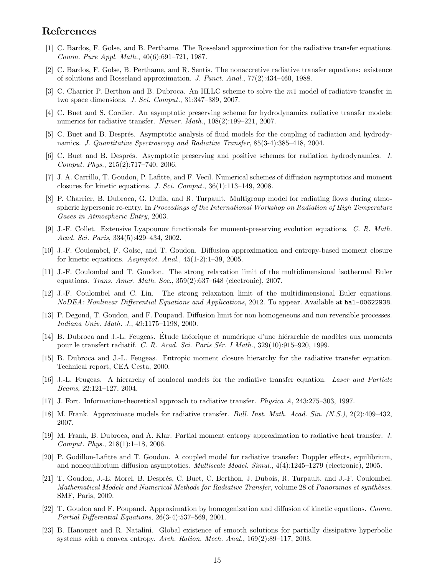## References

- [1] C. Bardos, F. Golse, and B. Perthame. The Rosseland approximation for the radiative transfer equations. Comm. Pure Appl. Math., 40(6):691–721, 1987.
- [2] C. Bardos, F. Golse, B. Perthame, and R. Sentis. The nonaccretive radiative transfer equations: existence of solutions and Rosseland approximation. J. Funct. Anal., 77(2):434–460, 1988.
- [3] C. Charrier P. Berthon and B. Dubroca. An HLLC scheme to solve the m1 model of radiative transfer in two space dimensions. J. Sci. Comput., 31:347–389, 2007.
- [4] C. Buet and S. Cordier. An asymptotic preserving scheme for hydrodynamics radiative transfer models: numerics for radiative transfer. Numer. Math.,  $108(2):199-221$ , 2007.
- [5] C. Buet and B. Després. Asymptotic analysis of fluid models for the coupling of radiation and hydrodynamics. J. Quantitative Spectroscopy and Radiative Transfer, 85(3-4):385–418, 2004.
- [6] C. Buet and B. Després. Asymptotic preserving and positive schemes for radiation hydrodynamics. J. Comput. Phys., 215(2):717–740, 2006.
- [7] J. A. Carrillo, T. Goudon, P. Lafitte, and F. Vecil. Numerical schemes of diffusion asymptotics and moment closures for kinetic equations. J. Sci. Comput., 36(1):113–149, 2008.
- [8] P. Charrier, B. Dubroca, G. Duffa, and R. Turpault. Multigroup model for radiating flows during atmospheric hypersonic re-entry. In Proceedings of the International Workshop on Radiation of High Temperature Gases in Atmospheric Entry, 2003.
- [9] J.-F. Collet. Extensive Lyapounov functionals for moment-preserving evolution equations. C. R. Math. Acad. Sci. Paris, 334(5):429–434, 2002.
- [10] J.-F. Coulombel, F. Golse, and T. Goudon. Diffusion approximation and entropy-based moment closure for kinetic equations. Asymptot. Anal., 45(1-2):1–39, 2005.
- [11] J.-F. Coulombel and T. Goudon. The strong relaxation limit of the multidimensional isothermal Euler equations. Trans. Amer. Math. Soc.,  $359(2):637-648$  (electronic), 2007.
- [12] J.-F. Coulombel and C. Lin. The strong relaxation limit of the multidimensional Euler equations. NoDEA: Nonlinear Differential Equations and Applications, 2012. To appear. Available at hal-00622938.
- [13] P. Degond, T. Goudon, and F. Poupaud. Diffusion limit for non homogeneous and non reversible processes. Indiana Univ. Math. J., 49:1175–1198, 2000.
- [14] B. Dubroca and J.-L. Feugeas. Étude théorique et numérique d'une hiérarchie de modèles aux moments pour le transfert radiatif. C. R. Acad. Sci. Paris S´er. I Math., 329(10):915–920, 1999.
- [15] B. Dubroca and J.-L. Feugeas. Entropic moment closure hierarchy for the radiative transfer equation. Technical report, CEA Cesta, 2000.
- [16] J.-L. Feugeas. A hierarchy of nonlocal models for the radiative transfer equation. Laser and Particle Beams, 22:121–127, 2004.
- [17] J. Fort. Information-theoretical approach to radiative transfer. Physica A, 243:275–303, 1997.
- [18] M. Frank. Approximate models for radiative transfer. Bull. Inst. Math. Acad. Sin. (N.S.), 2(2):409–432, 2007.
- [19] M. Frank, B. Dubroca, and A. Klar. Partial moment entropy approximation to radiative heat transfer. J. Comput. Phys., 218(1):1–18, 2006.
- [20] P. Godillon-Lafitte and T. Goudon. A coupled model for radiative transfer: Doppler effects, equilibrium, and nonequilibrium diffusion asymptotics. *Multiscale Model. Simul.*,  $4(4)$ :1245–1279 (electronic), 2005.
- [21] T. Goudon, J.-E. Morel, B. Després, C. Buet, C. Berthon, J. Dubois, R. Turpault, and J.-F. Coulombel. Mathematical Models and Numerical Methods for Radiative Transfer, volume 28 of Panoramas et synthèses. SMF, Paris, 2009.
- [22] T. Goudon and F. Poupaud. Approximation by homogenization and diffusion of kinetic equations. Comm. Partial Differential Equations, 26(3-4):537–569, 2001.
- [23] B. Hanouzet and R. Natalini. Global existence of smooth solutions for partially dissipative hyperbolic systems with a convex entropy. Arch. Ration. Mech. Anal., 169(2):89–117, 2003.